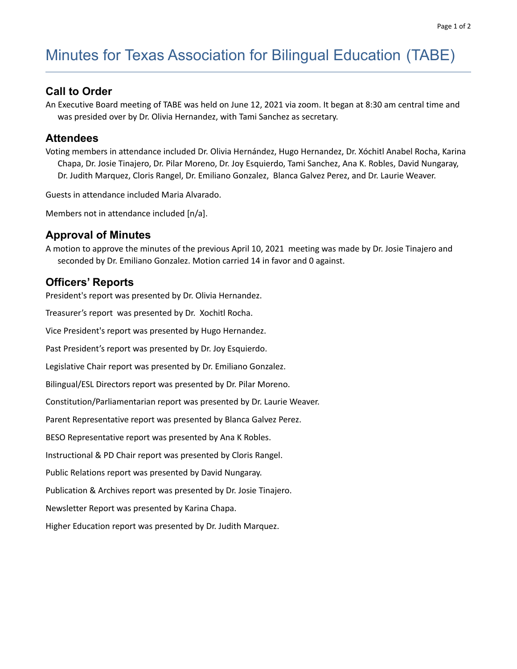# Minutes for Texas Association for Bilingual Education (TABE)

# **Call to Order**

An Executive Board meeting of TABE was held on June 12, 2021 via zoom. It began at 8:30 am central time and was presided over by Dr. Olivia Hernandez, with Tami Sanchez as secretary.

## **Attendees**

Voting members in attendance included Dr. Olivia Hernández, Hugo Hernandez, Dr. Xóchitl Anabel Rocha, Karina Chapa, Dr. Josie Tinajero, Dr. Pilar Moreno, Dr. Joy Esquierdo, Tami Sanchez, Ana K. Robles, David Nungaray, Dr. Judith Marquez, Cloris Rangel, Dr. Emiliano Gonzalez, Blanca Galvez Perez, and Dr. Laurie Weaver.

Guests in attendance included Maria Alvarado.

Members not in attendance included [n/a].

## **Approval of Minutes**

A motion to approve the minutes of the previous April 10, 2021 meeting was made by Dr. Josie Tinajero and seconded by Dr. Emiliano Gonzalez. Motion carried 14 in favor and 0 against.

# **Officers' Reports**

President's report was presented by Dr. Olivia Hernandez.

Treasurer's report was presented by Dr. Xochitl Rocha.

Vice President's report was presented by Hugo Hernandez.

Past President's report was presented by Dr. Joy Esquierdo.

Legislative Chair report was presented by Dr. Emiliano Gonzalez.

Bilingual/ESL Directors report was presented by Dr. Pilar Moreno.

Constitution/Parliamentarian report was presented by Dr. Laurie Weaver.

Parent Representative report was presented by Blanca Galvez Perez.

BESO Representative report was presented by Ana K Robles.

Instructional & PD Chair report was presented by Cloris Rangel.

Public Relations report was presented by David Nungaray.

Publication & Archives report was presented by Dr. Josie Tinajero.

Newsletter Report was presented by Karina Chapa.

Higher Education report was presented by Dr. Judith Marquez.